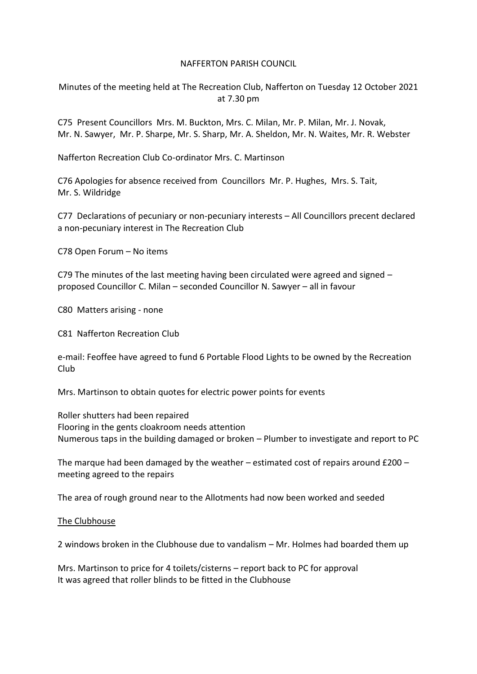## NAFFERTON PARISH COUNCIL

Minutes of the meeting held at The Recreation Club, Nafferton on Tuesday 12 October 2021 at 7.30 pm

C75 Present Councillors Mrs. M. Buckton, Mrs. C. Milan, Mr. P. Milan, Mr. J. Novak, Mr. N. Sawyer, Mr. P. Sharpe, Mr. S. Sharp, Mr. A. Sheldon, Mr. N. Waites, Mr. R. Webster

Nafferton Recreation Club Co-ordinator Mrs. C. Martinson

C76 Apologies for absence received from Councillors Mr. P. Hughes, Mrs. S. Tait, Mr. S. Wildridge

C77 Declarations of pecuniary or non-pecuniary interests – All Councillors precent declared a non-pecuniary interest in The Recreation Club

C78 Open Forum – No items

C79 The minutes of the last meeting having been circulated were agreed and signed – proposed Councillor C. Milan – seconded Councillor N. Sawyer – all in favour

C80 Matters arising - none

C81 Nafferton Recreation Club

e-mail: Feoffee have agreed to fund 6 Portable Flood Lights to be owned by the Recreation Club

Mrs. Martinson to obtain quotes for electric power points for events

Roller shutters had been repaired Flooring in the gents cloakroom needs attention Numerous taps in the building damaged or broken – Plumber to investigate and report to PC

The marque had been damaged by the weather – estimated cost of repairs around £200 – meeting agreed to the repairs

The area of rough ground near to the Allotments had now been worked and seeded

The Clubhouse

2 windows broken in the Clubhouse due to vandalism – Mr. Holmes had boarded them up

Mrs. Martinson to price for 4 toilets/cisterns – report back to PC for approval It was agreed that roller blinds to be fitted in the Clubhouse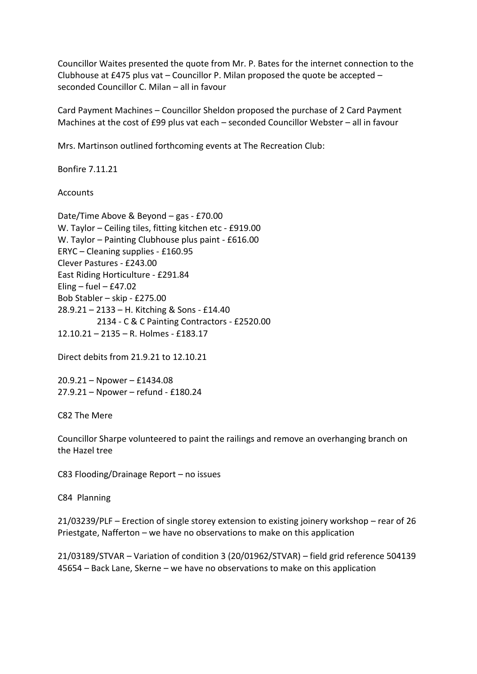Councillor Waites presented the quote from Mr. P. Bates for the internet connection to the Clubhouse at £475 plus vat – Councillor P. Milan proposed the quote be accepted – seconded Councillor C. Milan – all in favour

Card Payment Machines – Councillor Sheldon proposed the purchase of 2 Card Payment Machines at the cost of £99 plus vat each – seconded Councillor Webster – all in favour

Mrs. Martinson outlined forthcoming events at The Recreation Club:

Bonfire 7.11.21

## **Accounts**

Date/Time Above & Beyond – gas - £70.00 W. Taylor – Ceiling tiles, fitting kitchen etc - £919.00 W. Taylor – Painting Clubhouse plus paint - £616.00 ERYC – Cleaning supplies - £160.95 Clever Pastures - £243.00 East Riding Horticulture - £291.84  $Eling - fuel - £47.02$ Bob Stabler – skip - £275.00 28.9.21 – 2133 – H. Kitching & Sons - £14.40 2134 - C & C Painting Contractors - £2520.00 12.10.21 – 2135 – R. Holmes - £183.17

Direct debits from 21.9.21 to 12.10.21

20.9.21 – Npower – £1434.08 27.9.21 – Npower – refund - £180.24

C82 The Mere

Councillor Sharpe volunteered to paint the railings and remove an overhanging branch on the Hazel tree

C83 Flooding/Drainage Report – no issues

C84 Planning

21/03239/PLF – Erection of single storey extension to existing joinery workshop – rear of 26 Priestgate, Nafferton – we have no observations to make on this application

21/03189/STVAR – Variation of condition 3 (20/01962/STVAR) – field grid reference 504139 45654 – Back Lane, Skerne – we have no observations to make on this application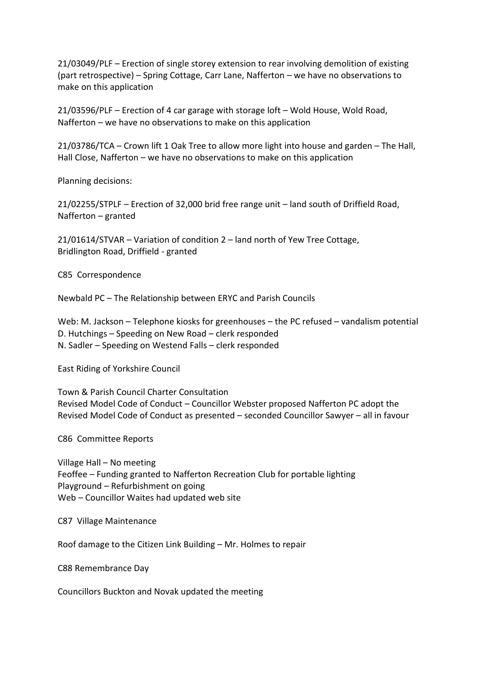21/03049/PLF – Erection of single storey extension to rear involving demolition of existing (part retrospective) – Spring Cottage, Carr Lane, Nafferton – we have no observations to make on this application

21/03596/PLF – Erection of 4 car garage with storage loft – Wold House, Wold Road, Nafferton – we have no observations to make on this application

21/03786/TCA – Crown lift 1 Oak Tree to allow more light into house and garden – The Hall, Hall Close, Nafferton – we have no observations to make on this application

Planning decisions:

21/02255/STPLF – Erection of 32,000 brid free range unit – land south of Driffield Road, Nafferton – granted

21/01614/STVAR – Variation of condition 2 – land north of Yew Tree Cottage, Bridlington Road, Driffield - granted

C85 Correspondence

Newbald PC – The Relationship between ERYC and Parish Councils

Web: M. Jackson – Telephone kiosks for greenhouses – the PC refused – vandalism potential D. Hutchings – Speeding on New Road – clerk responded N. Sadler – Speeding on Westend Falls – clerk responded

East Riding of Yorkshire Council

Town & Parish Council Charter Consultation Revised Model Code of Conduct – Councillor Webster proposed Nafferton PC adopt the Revised Model Code of Conduct as presented – seconded Councillor Sawyer – all in favour

C86 Committee Reports

Village Hall – No meeting Feoffee – Funding granted to Nafferton Recreation Club for portable lighting Playground – Refurbishment on going Web – Councillor Waites had updated web site

C87 Village Maintenance

Roof damage to the Citizen Link Building – Mr. Holmes to repair

C88 Remembrance Day

Councillors Buckton and Novak updated the meeting